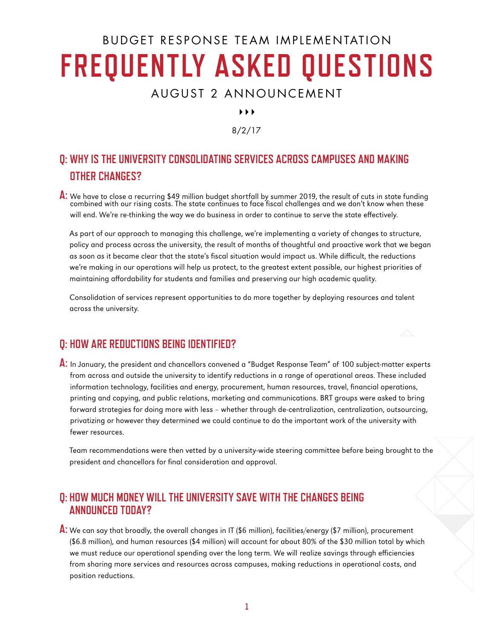# BUDGET RESPONSE TEAM IMPLEMENTATION **FREQUENTLY ASKED QUESTIONS**

## AUGUST 2 ANNOUNCEMENT

 $\blacktriangleright$   $\blacktriangleright$   $\blacktriangleright$ 

#### 8/2/17

## **Q: WHY IS THE UNIVERSITY CONSOLIDATING SERVICES ACROSS CAMPUSES AND MAKING OTHER CHANGES?**

**A:** We have to close a recurring \$49 million budget shortfall by summer 2019, the result of cuts in state funding combined with our rising costs. The state continues to face fiscal challenges and we don't know when these will end. We're re-thinking the way we do business in order to continue to serve the state effectively.

 As part of our approach to managing this challenge, we're implementing a variety of changes to structure, policy and process across the university, the result of months of thoughtful and proactive work that we began as soon as it became clear that the state's fiscal situation would impact us. While difficult, the reductions we're making in our operations will help us protect, to the greatest extent possible, our highest priorities of maintaining affordability for students and families and preserving our high academic quality.

 Consolidation of services represent opportunities to do more together by deploying resources and talent across the university.

#### **Q: HOW ARE REDUCTIONS BEING IDENTIFIED?**

**A:** In January, the president and chancellors convened a "Budget Response Team" of 100 subject-matter experts from across and outside the university to identify reductions in a range of operational areas. These included information technology, facilities and energy, procurement, human resources, travel, financial operations, printing and copying, and public relations, marketing and communications. BRT groups were asked to bring forward strategies for doing more with less – whether through de-centralization, centralization, outsourcing, privatizing or however they determined we could continue to do the important work of the university with fewer resources.

 Team recommendations were then vetted by a university-wide steering committee before being brought to the president and chancellors for final consideration and approval.

#### **Q: HOW MUCH MONEY WILL THE UNIVERSITY SAVE WITH THE CHANGES BEING ANNOUNCED TODAY?**

**A:** We can say that broadly, the overall changes in IT (\$6 million), facilities/energy (\$7 million), procurement (\$6.8 million), and human resources (\$4 million) will account for about 80% of the \$30 million total by which we must reduce our operational spending over the long term. We will realize savings through efficiencies from sharing more services and resources across campuses, making reductions in operational costs, and position reductions.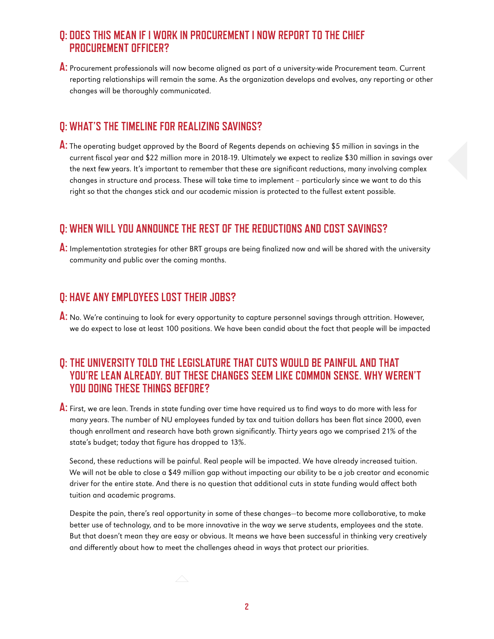### **Q: DOES THIS MEAN IF I WORK IN PROCUREMENT I NOW REPORT TO THE CHIEF PROCUREMENT OFFICER?**

**A:** Procurement professionals will now become aligned as part of a university-wide Procurement team. Current reporting relationships will remain the same. As the organization develops and evolves, any reporting or other changes will be thoroughly communicated.

#### **Q: WHAT'S THE TIMELINE FOR REALIZING SAVINGS?**

**A:** The operating budget approved by the Board of Regents depends on achieving \$5 million in savings in the current fiscal year and \$22 million more in 2018-19. Ultimately we expect to realize \$30 million in savings over the next few years. It's important to remember that these are significant reductions, many involving complex changes in structure and process. These will take time to implement – particularly since we want to do this right so that the changes stick and our academic mission is protected to the fullest extent possible.

#### **Q: WHEN WILL YOU ANNOUNCE THE REST OF THE REDUCTIONS AND COST SAVINGS?**

**A:** Implementation strategies for other BRT groups are being finalized now and will be shared with the university community and public over the coming months.

#### **Q: HAVE ANY EMPLOYEES LOST THEIR JOBS?**

**A:** No. We're continuing to look for every opportunity to capture personnel savings through attrition. However, we do expect to lose at least 100 positions. We have been candid about the fact that people will be impacted

### **Q: THE UNIVERSITY TOLD THE LEGISLATURE THAT CUTS WOULD BE PAINFUL AND THAT YOU'RE LEAN ALREADY. BUT THESE CHANGES SEEM LIKE COMMON SENSE. WHY WEREN'T YOU DOING THESE THINGS BEFORE?**

**A:** First, we are lean. Trends in state funding over time have required us to find ways to do more with less for many years. The number of NU employees funded by tax and tuition dollars has been flat since 2000, even though enrollment and research have both grown significantly. Thirty years ago we comprised 21% of the state's budget; today that figure has dropped to 13%.

 Second, these reductions will be painful. Real people will be impacted. We have already increased tuition. We will not be able to close a \$49 million gap without impacting our ability to be a job creator and economic driver for the entire state. And there is no question that additional cuts in state funding would affect both tuition and academic programs.

 Despite the pain, there's real opportunity in some of these changes—to become more collaborative, to make better use of technology, and to be more innovative in the way we serve students, employees and the state. But that doesn't mean they are easy or obvious. It means we have been successful in thinking very creatively and differently about how to meet the challenges ahead in ways that protect our priorities.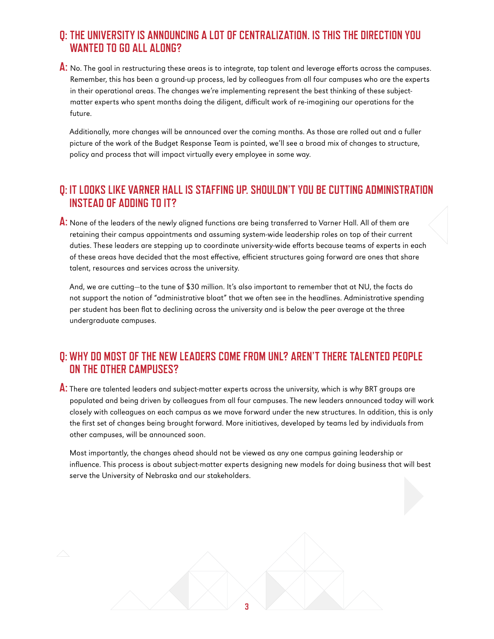### **Q: THE UNIVERSITY IS ANNOUNCING A LOT OF CENTRALIZATION. IS THIS THE DIRECTION YOU WANTED TO GO ALL ALONG?**

**A:** No. The goal in restructuring these areas is to integrate, tap talent and leverage efforts across the campuses. Remember, this has been a ground-up process, led by colleagues from all four campuses who are the experts in their operational areas. The changes we're implementing represent the best thinking of these subjectmatter experts who spent months doing the diligent, difficult work of re-imagining our operations for the future.

 Additionally, more changes will be announced over the coming months. As those are rolled out and a fuller picture of the work of the Budget Response Team is painted, we'll see a broad mix of changes to structure, policy and process that will impact virtually every employee in some way.

#### **Q: IT LOOKS LIKE VARNER HALL IS STAFFING UP. SHOULDN'T YOU BE CUTTING ADMINISTRATION INSTEAD OF ADDING TO IT?**

**A:** None of the leaders of the newly aligned functions are being transferred to Varner Hall. All of them are retaining their campus appointments and assuming system-wide leadership roles on top of their current duties. These leaders are stepping up to coordinate university-wide efforts because teams of experts in each of these areas have decided that the most effective, efficient structures going forward are ones that share talent, resources and services across the university.

 And, we are cutting—to the tune of \$30 million. It's also important to remember that at NU, the facts do not support the notion of "administrative bloat" that we often see in the headlines. Administrative spending per student has been flat to declining across the university and is below the peer average at the three undergraduate campuses.

#### **Q: WHY DO MOST OF THE NEW LEADERS COME FROM UNL? AREN'T THERE TALENTED PEOPLE ON THE OTHER CAMPUSES?**

**A:** There are talented leaders and subject-matter experts across the university, which is why BRT groups are populated and being driven by colleagues from all four campuses. The new leaders announced today will work closely with colleagues on each campus as we move forward under the new structures. In addition, this is only the first set of changes being brought forward. More initiatives, developed by teams led by individuals from other campuses, will be announced soon.

 Most importantly, the changes ahead should not be viewed as any one campus gaining leadership or influence. This process is about subject-matter experts designing new models for doing business that will best serve the University of Nebraska and our stakeholders.